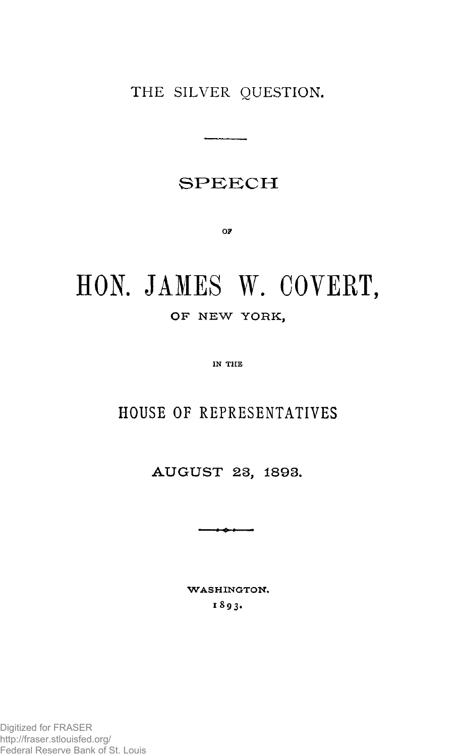THE SILVER QUESTION.

### **SPEEC H**

**OF** 

# **HON. JAMES W. COVERT, O F NE W YORK ,**

**IN THE** 

# **HOUSE OF REPRESENTATIVES**

**AUGUS T 23, 1893.** 

- - - - -

**WASHINGTON. 1893 .**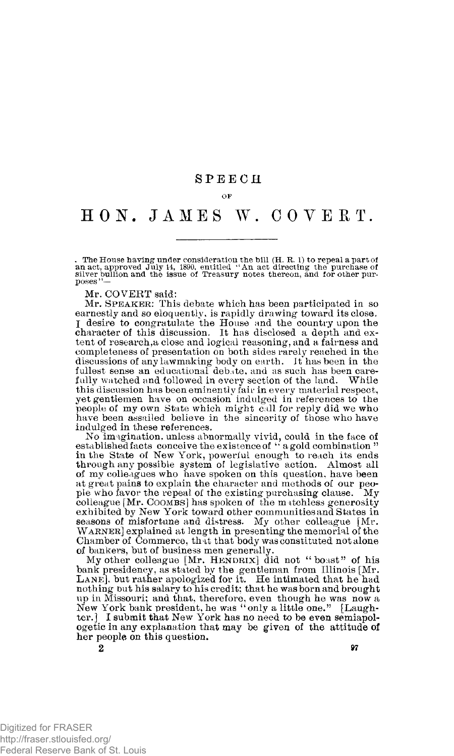#### **SPEEC H**

**OF** 

## **HON . JAME S W. COVERT .**

. The House having under consideration the bill (H. R. 1) to repeal a part of<br>an act, approved July 14, 1890, entitled ''An act directing the purchase of<br>silver bullion and the issue of Treasury notes thereon, and for othe poses"—

Mr. COVERT said:

Mr. **SPEAKER**: This debate which has been participated in so earnestly and so eloquently, is rapidly drawing toward its close, I desire to congratulate the House and the country upon the character of this discussion. It has disclosed a depth and extent of research,a close and logical reasoning, and a fairness and completeness of presentation on both sides rarely reached in the discussions of any lawmaking body on earth, it has been in the fullest sense an educational debate, and as such has been carefully watched and followed in every section of the land. While this discussion has been eminently fair in every material respect, yet gentlemen have on occasion indulged in references to the people of my own State which might call for reply did we who have been assailed believe in the sincerity of those who have indulged in these references.

No imagination, unless abnormally vivid, could in the face of established facts conceive the existence of " a gold combination " in the State of New York, powerful enough to reach its ends through any possible system of legislative action. Almost all of my colleagues who have spoken on this question, have been at great pains to explain the character and methods of our peo-<br>ple who favor the repeal of the existing purchasing clause. My ple who favor the repeal of the existing purchasing clause. colleague [Mr. **COOMBS**] has spoken of the matchless generosity exhibited by New York toward other communities and States in seasons of misfortune and distress. My other colleague [Mr. **WARNER**] explained at length in presenting the memorial of the Chamber of Commerce, that that body was constituted not alone of bankers, but of business men generally.

My other colleague [Mr. **HENDRIX**] did not "boast " of his bank presidency, as stated by the gentleman from Illinois [Mr.<br>LANE], but rather apologized for it. He intimated that he had nothing but his salary to his credit; that he was born and brought up in Missouri; and that, therefore, even though he was now a New York bank president, he was "only a little one." [Laughter.] I submit that New York has no need to be even semiapologetic in any explanation that may be given of the attitude of her people on this question.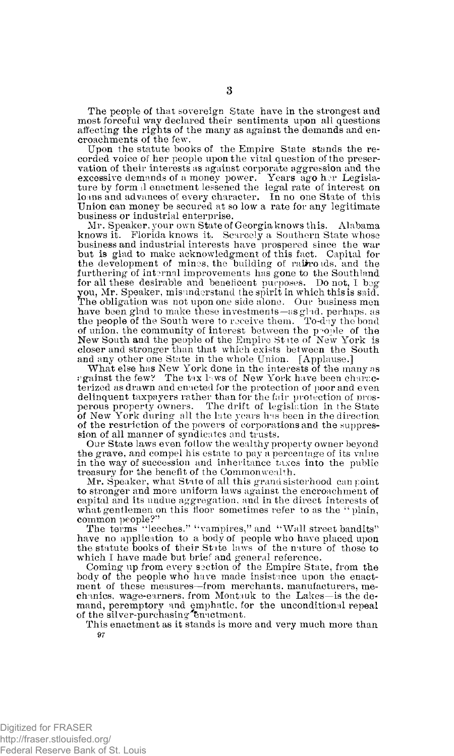The people of that sovereign State have in the strongest and most forceful way declared their sentiments upon all questions affecting the rights of the many as against the demands and encroachments of the few.

Upon the statute books of the Empire State stands the recorded voice of her people upon the vital question of the preservation of their interests as against corporate aggression and the excessive demands of a money power. Years ago her Legislature by form >1 enactment lessened the legal rate of interest on loans and advances of every character. In no one State of this Union can money be secured at so low a rate for any legitimate business or industrial enterprise.

Mr. Speaker, your own State of Georgia knows this. Alabama knows it. Florida knows it. Scarcely a Southern State whose business and industrial interests have prospered since the war but is glad to make acknowledgment of this fact. Capital for the development of mines, the building of rairrords, and the furthering of internal improvements has gone to the Southland for all these desirable and beneficent purposes. Do not, I beg you, Mr. Speaker, misunderstand the spirit in which this is said. The obligation was not upon one side alone. Our business men have been glad to make these investments—as glad, perhaps, as the people of the South were to receive them. To-day the bond of union, the community of interest between the people of the New South and the people of the Empire State of New York is closer and stronger than that which exists between the South and any other one State in the whole Union. [Applause.]

What else has New York done in the interests of the many as against the few? The tax laws of New York have been characterized as drawn and enacted for the protection of poor and even delinquent taxpayers rather than for the fair protection of pros-perous property owners. The drift of legislation in the State of New York during all the late years has been in the direction of the restriction of the powers of corporations and the suppression of all manner of syndicates and trusts.

Our State laws even fotlow the wealthy property owner beyond the grave, and compel his estate to pay a percentage of its value in the way of succession and inheritance taxes into the public treasury for the benefit of the Commonwealth.

Mr. Speaker, what State of all this grand sisterhood can point to stronger and more uniform laws against the encroachment of capital and its undue aggregation, and in the direct interests of what gentlemen on this floor sometimes refer to as the "plain, common people?" The terms "leeches." ''vampires," and "Wall street bandits"

have no application to a body of people who have placed upon the statute books of their State laws of the nature of those to which I have made but brief and general reference.

Coming up from every section of the Empire State, from the body of the people who have made insistance upon the enactment of these measures—from merchants, manufacturers, mechanics, wage-earners, from Montauk to the Lakes—is the demand, peremptory and emphatic, for the unconditional repeal of the silver-purchasing Enactment.

This enactment as it stands is more and very much more than 97

Digitized for FRASER http://fraser.stlouisfed.org/ Federal Reserve Bank of St. Louis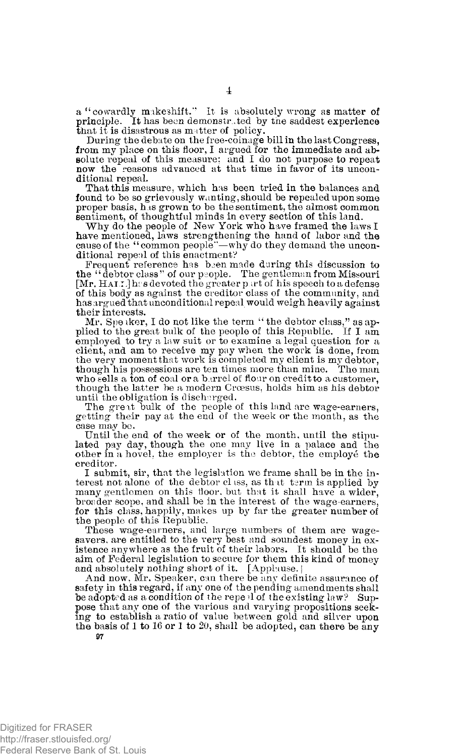a "cowardly makeshift." It is absolutely wrong as matter of principle. It has been demonstrated by the saddest experience that it is disastrous as matter of policy.

During the debate on the free-coinage bill in the last Congress, from my place on this floor, I argued for the immediate and absolute repeal of this measure; and I do not purpose to repeat now the reasons advanced at that time in favor of its unconditional repeal.

That this measure, which has been tried in the balances and found to be so grievously wanting, should be repealed upon some proper basis, has grown to be the sentiment, the almost common

sentiment, of thoughtful minds in every section of this land. Why do the people of New York who have framed the laws I have mentioned, laws strengthening the hand of labor and the cause of the "common people''—why do they demand the unconditional repeal of this enactment?

Frequent reference has been made during this discussion to the "debtor class" of our people. The gentleman from Missouri [Mr. HAI.T.] has devoted the greater part of his speech to a defense of this body as against the creditor class of the community, and has argued that unconditional repeal would weigh heavily against their interests.

Mr. Speaker, I do not like the term "the debtor class," as applied to the great bulk of the people of this Republic. If I am employed to try a law suit or to examine a legal question for a client, and am to receive my pay when the work is done, from the very moment that work is completed my client is my debtor, though his possessions are ten times more than mine. The man who sells a ton of coal or a barrel of flour on credit to a customer, though the latter be a modern Croesus, holds him as his debtor until the obligation is discharged.

The great bulk of the people of this land are wage-earners, getting their pay at the end of the week or the month, as the case may be.

Until the end of the week or of the month, until the stipulated pay day, though the one may live in a palace and the other in a hovel, the employer is the debtor, the employe the creditor.

I submit, sir, that the legislation we frame shall be in the interest not alone of the debtor class, as that term is applied by many gentlemen on this floor, but that it shall have a wider, broader scope, and shall be in the interest of the wage-earners, for this class, happily, makes up by far the greater number of the people of this Republic.

These wage-earners, and large numbers of them are wagesavers, are entitled to the very best and soundest money in existence anywhere as the fruit of their labors. It should be the aim of Federal legislation to secure for them this kind of money

and absolutely nothing short of it. [Applause,**<sup>j</sup>** And now, Mr. Speaker, can there be any definite assurance of safety in this regard, if any one of the pending amendments shall be adopted as a condition of the repeal of the existing law? Suppose that any one of the various and varying propositions seeking to establish a ratio of value between gold and silver upon the basis of 1 to 16 or 1 to 20, shall be adopted, can there be any

Digitized for FRASER http://fraser.stlouisfed.org/ Federal Reserve Bank of St. Louis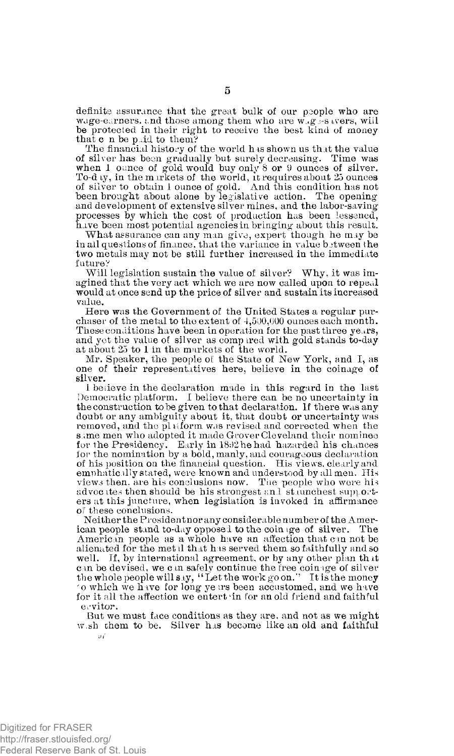definite assurance that the great bulk of our people who are wage-earners, and those among them who are wagges avers, will be protected in their right to receive the best kind of money that c n be paid to them?

The financial history of the world has shown us that the value of silver has been gradually but surely decreasing. Time was when 1 ounce of gold would buy only 8 or 9 ounces of silver. To-day, in the markets of the world, it requires about 25 ounces of silver to obtain 1 ounce of gold. And this condition has not been brought about alone by legislative action. The opening and development of extensive silver mines, and the labor-saving processes by which the cost of production has been lessened, have been most potential agencies in bringing about this result.

What assurance can any man give, expert though he may be in all questions of finance, that the variance in value between the two metals may not be still further increased in the immediate future?

Will legislation sustain the value of silver? Why, it was imagined that the very act which we are now called upon to repeal would at once send up the price of silver and sustain its increased value.

Here was the Government of the United States a regular purchaser of the metal to the extent of 4,500,000 ounces each month. These conditions have been in operation for the past three years, and yet the value of silver as comp ired with gold stands to-day at about 25 to 1 in the markets of the world.

Mr. Speaker, the people of the State of New York, and I, as one of their representatives here, believe in the coinage of silver.

1 beiieve in the declaration made in this regard in the last Democratic platform. I believe there can be no uncertainty in the construction to be given to that declaration. If there was any doubt or any ambiguity about it, that doubt or uncertainty was removed, and the platform was revised and corrected when the same men who adopted it made Grover Cleveland their nominee for the Presidency. Early in 1892 he had hazarded his chances for the nomination by a bold, manly, and courageous declaration of his position on the financial question. His views, clearly and emphatically stated, were known and understood by all men. His views then, are his conclusions now. The people who were his advocates then should be his strongest and staunchest supporters at this juncture, when legislation is invoked in affirmance of these conclusions.

Neither the President nor any considerable number of the American people stand to-day opposed to the coin ige of silver. The American people as a whole have an affection that can not be alienated for the met il that has served them so faithfully and so well. If, by international agreement, or by any other plan that can be devised, we can safely continue the free coinage of silver<br>the whole people will say, "Let the work goon." It is the mone**y** • o which we have for long ye irs been accustomed, and we have for it all the affection we entert in for an old friend and faithful ervitor.

But we must face conditions as they are, and not as we might w.sh them to be. Silver has become like an old and faithful

**5**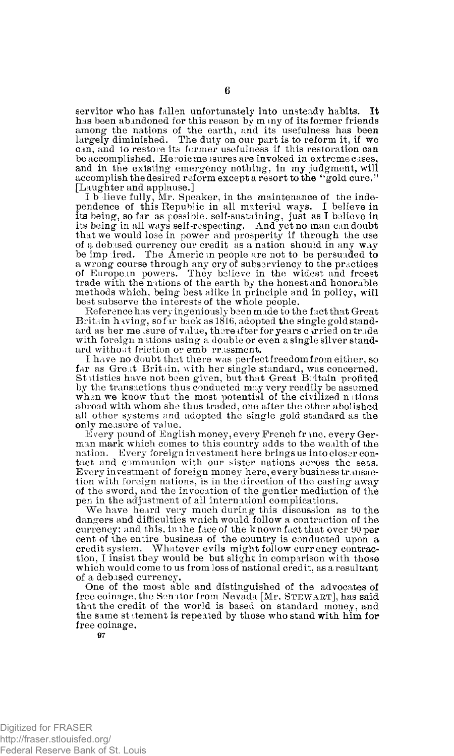servitor who has fallen unfortunately into unsteady habits. It has been abandoned for this reason by m my of its former friends among the nations of the earth, and its usefulness has been largely diminished. The duty on our part is to reform it, if we can, and to restore its former usefulness if this restoration can be accomplished. Heroic me isures are invoked in extreme cases, and in the existing emergency nothing, in my judgment, will accomplish the desired reform except a resort to the "gold cure." [Laughter and applause.]

I b lieve fully, Mr. Speaker, in the maintenance of the independence of this Republic in all material ways. I believe in its being, so far as possible, self-sustaining, just as I believe in its being in all ways self-respecting. And yet no man can doubt that we would lose in power and prosperity if through the use of a debased currency our credit as a nation should in any way be imp ired. The Americ in people are not to be persuaded to a wrong course through any cry of subserviency to the practices of European powers. They believe in the widest and freest trade with the nations of the earth by the honest and honorable methods which, being best alike in principle and in policy, will best subserve the interests of the whole people.

Reference has very ingeniously been made to the fact that Great Britain having, so far back as 1816, adopted the single gold standard as her measure of value, thereafter for years carried on trade with foreign nations using a double or even a single silver standard without friction or emb rrassment.

I have no doubt that there was perfect freedom from either, so far as Great Britain, with her single standard, was concerned. St itistics have not been given, but that Great Britain profited by the transactions thus conducted may very readily be assumed when we know that the most potential of the civilized nations abroad with whom she thus traded, one after the other abolished all other systems and adopted the single gold standard as the only measure of value.

Every pound of English money, every French franc, every German mark which comes to this country adds to the wealth of the nation. Every foreign investment here brings us into closer contact and communion with our sister nations across the seas. Every investment of foreign money here, every business transaction with foreign nations, is in the direction of the casting away of the sword, and the invocation of the gentler mediation of the pen in the adjustment of all internationl complications.

We have heard very much during this discussion as to the dangers and difficulties which would follow a contraction of the currency; and this, in the face of the known fact that over 90 per cent of the entire business of the country is conducted upon a credit system. Whatever evils might follow currency contraction, I insist they would be but slight in comparison with those which would come to us from loss of national credit, as a resultant of a debased currency.

One of the most able and distinguished of the advocates of free coinage, the Senator from Nevada [Mr. **STEWART**], has said that the credit of the world is based on standard money, and the same st itement is repeated by those who stand with him for free coinage.

Digitized for FRASER http://fraser.stlouisfed.org/ Federal Reserve Bank of St. Louis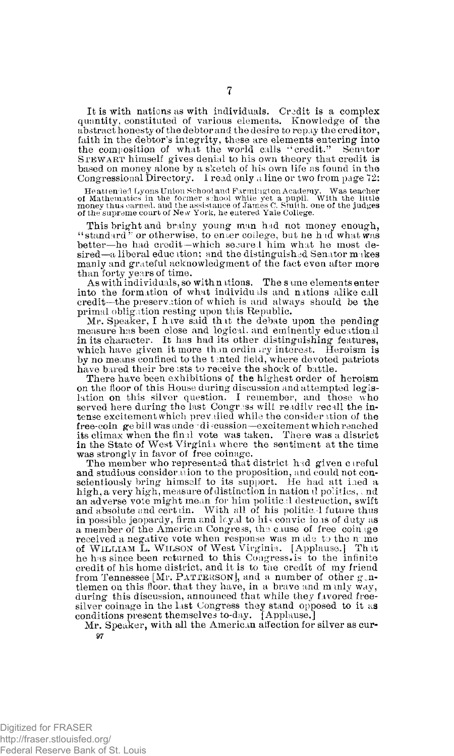It is with nations as with individuals. Credit is a complex quantity, constituted of various elements. Knowledge of the abstract honesty of the debtor and the desire to repay the creditor, faith in the debtor's integrity, these are elements entering into the composition of what the world calls "credit." Senator **S**TEWART himself gives denial to his own theory that credit is based on money alone by a sketch of his own life as found in the Congressional Directory. I read only a line or two from page 72:

Heatten led Lyons Union School and Farmington Academy. Was teacher<br>of Mathematics in the former school while yet a pupil. With the little<br>money thus carned, and the assistance of James C. Smith, one of the judges<br>of the su

This bright and brainy young man had not money enough, "standard" or otherwise, to enter college, but he had what was better—he had credit—which secure. I him what he most de $sired-a$  liberal education; and the distinguished Senator makes manly and grateful acknowledgment of the fact even after more than forty years of time.

As with individuals, so with nations. The same elements enter into the formation of what individuals and nations alike call credit—the preservation of which is and always should be the primal obligation resting upon this Republic.

Mr. Speaker, I have said that the debate upon the pending measure has been close and logical, and eminently educational in its character. It has had its other distinguishing features, which have given it more than ordin iry interest. Heroism is by no means confined to the tented field, where devoted patriots have bared their breasts to receive the shock of battle.

There have been exhibitions of the highest order of heroism on the floor of this House during discussion and attempted legis-lation on this silver question. I remember, and those who served here during the last Congress will readily recall the intense excitement which prevailed while the consideration of the free-coin ge bill was unde discussion—excitement which reached its climax when the final vote was taken. There was a district in the State of West Virginia where the sentiment at the time was strongly in favor of free coinage.

The member who represented that district had given c ireful and studious consider nion to the proposition, and could not conscientiously bring himself to its support. He had att i.ed a high, a very high, measure of distinction in nation  $d$  politics, and an adverse vole might mean for him political destruction, swift and absolute and certain. With all of his politic-1 future thus in possible jeopardy, firm and loyal to his convictions of duty as a member of the American Congress, the cause of free coinage received a negative vote when response was made to the name of WILLIAM L. WILSON of West Virginia. [Applause.] That he has since been returned to this Congress.is to the infinite credit of his home district, and it is to the credit of my friend from Tennessee [Mr. PATTERSON], and a number of other gentlemen on this floor, that they have, in a brave and minly way, during this discussion, announced that while they favored freesilver coinage in the last Congress they stand opposed to it as conditions present themselves to-day. [Applause.]

Mr. Speaker, with all the American affection for silver as cur-**97** 

**7**